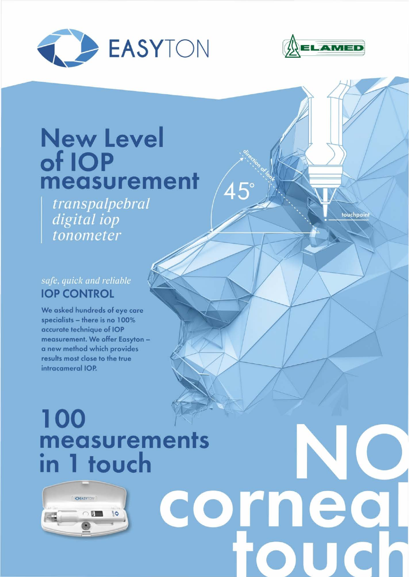



## New Level of IOP measurement

transpalpebral digital iop tonometer

touchpoint

## safe, quick and reliable **IOP CONTROL**

We asked hundreds of eye care specialists - there is no 100% accurate technique of IOP measurement. We offer Easyton a new method which provides results most close to the true intracameral IOP.

# **100** measurements in 1 touch



 $45^\circ$